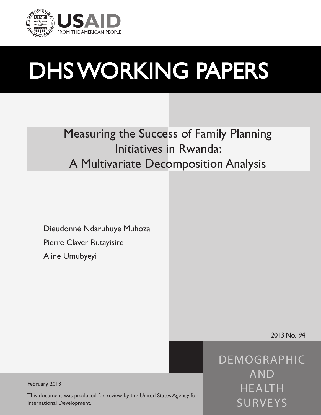

# DHS WORKING PAPERS

Measuring the Success of Family Planning Initiatives in Rwanda: A Multivariate Decomposition Analysis

Dieudonné Ndaruhuye Muhoza Pierre Claver Rutayisire Aline Umubyeyi

2013 No. 94

*DEMOGRAPHIC AND HEALTH SURVEYS*

February 2013

This document was produced for review by the United States Agency for International Development.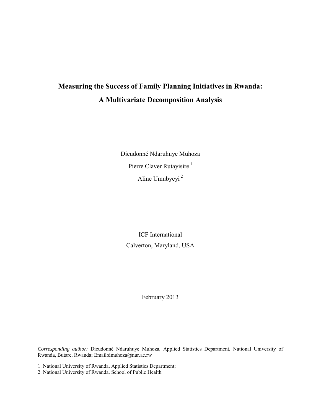# **Measuring the Success of Family Planning Initiatives in Rwanda: A Multivariate Decomposition Analysis**

Dieudonné Ndaruhuye Muhoza Pierre Claver Rutayisire<sup>1</sup> Aline Umubyeyi<sup>2</sup>

ICF International Calverton, Maryland, USA

February 2013

*Corresponding author:* Dieudonné Ndaruhuye Muhoza, Applied Statistics Department, National University of Rwanda, Butare, Rwanda; Email:dmuhoza@nur.ac.rw

1. National University of Rwanda, Applied Statistics Department;

2. National University of Rwanda, School of Public Health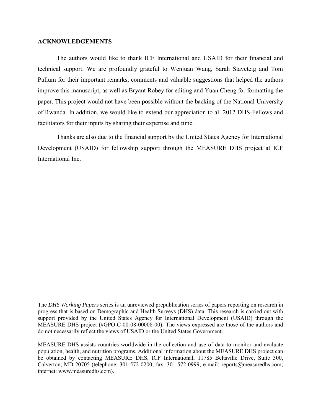#### **ACKNOWLEDGEMENTS**

The authors would like to thank ICF International and USAID for their financial and technical support. We are profoundly grateful to Wenjuan Wang, Sarah Staveteig and Tom Pullum for their important remarks, comments and valuable suggestions that helped the authors improve this manuscript, as well as Bryant Robey for editing and Yuan Cheng for formatting the paper. This project would not have been possible without the backing of the National University of Rwanda. In addition, we would like to extend our appreciation to all 2012 DHS-Fellows and facilitators for their inputs by sharing their expertise and time.

Thanks are also due to the financial support by the United States Agency for International Development (USAID) for fellowship support through the MEASURE DHS project at ICF International Inc.

The *DHS Working Papers* series is an unreviewed prepublication series of papers reporting on research in progress that is based on Demographic and Health Surveys (DHS) data. This research is carried out with support provided by the United States Agency for International Development (USAID) through the MEASURE DHS project (#GPO-C-00-08-00008-00). The views expressed are those of the authors and do not necessarily reflect the views of USAID or the United States Government.

MEASURE DHS assists countries worldwide in the collection and use of data to monitor and evaluate population, health, and nutrition programs. Additional information about the MEASURE DHS project can be obtained by contacting MEASURE DHS, ICF International, 11785 Beltsville Drive, Suite 300, Calverton, MD 20705 (telephone: 301-572-0200; fax: 301-572-0999; e-mail: reports@measuredhs.com; internet: www.measuredhs.com).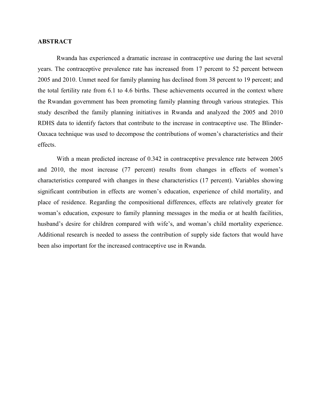# **ABSTRACT**

Rwanda has experienced a dramatic increase in contraceptive use during the last several years. The contraceptive prevalence rate has increased from 17 percent to 52 percent between 2005 and 2010. Unmet need for family planning has declined from 38 percent to 19 percent; and the total fertility rate from 6.1 to 4.6 births. These achievements occurred in the context where the Rwandan government has been promoting family planning through various strategies. This study described the family planning initiatives in Rwanda and analyzed the 2005 and 2010 RDHS data to identify factors that contribute to the increase in contraceptive use. The Blinder-Oaxaca technique was used to decompose the contributions of women's characteristics and their effects.

With a mean predicted increase of 0.342 in contraceptive prevalence rate between 2005 and 2010, the most increase (77 percent) results from changes in effects of women's characteristics compared with changes in these characteristics (17 percent). Variables showing significant contribution in effects are women's education, experience of child mortality, and place of residence. Regarding the compositional differences, effects are relatively greater for woman's education, exposure to family planning messages in the media or at health facilities, husband's desire for children compared with wife's, and woman's child mortality experience. Additional research is needed to assess the contribution of supply side factors that would have been also important for the increased contraceptive use in Rwanda.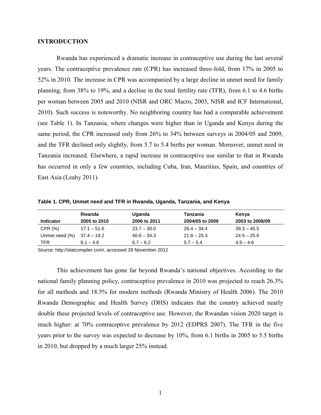### **INTRODUCTION**

Rwanda has experienced a dramatic increase in contraceptive use during the last several years. The contraceptive prevalence rate (CPR) has increased three-fold, from 17% in 2005 to 52% in 2010. The increase in CPR was accompanied by a large decline in unmet need for family planning, from 38% to 19%, and a decline in the total fertility rate (TFR), from 6.1 to 4.6 births per woman between 2005 and 2010 (NISR and ORC Macro, 2005, NISR and ICF International, 2010). Such success is noteworthy. No neighboring country has had a comparable achievement (see Table 1). In Tanzania, where changes were higher than in Uganda and Kenya during the same period, the CPR increased only from 26% to 34% between surveys in 2004/05 and 2009, and the TFR declined only slightly, from 5.7 to 5.4 births per woman. Moreover, unmet need in Tanzania increased. Elsewhere, a rapid increase in contraceptive use similar to that in Rwanda has occurred in only a few countries, including Cuba, Iran, Mauritius, Spain, and countries of East Asia (Leahy 2011).

| Table 1. CPR, Unmet need and TFR in Rwanda, Uganda, Tanzania, and Kenya |  |  |
|-------------------------------------------------------------------------|--|--|
|-------------------------------------------------------------------------|--|--|

|                  | Rwanda        | <b>Uganda</b> | Tanzania        | Kenya           |
|------------------|---------------|---------------|-----------------|-----------------|
| <b>Indicator</b> | 2005 to 2010  | 2006 to 2011  | 2004/05 to 2009 | 2003 to 2008/09 |
| CPR (%)          | $17.1 - 51.6$ | $23.7 - 30.0$ | $26.4 - 34.4$   | $39.3 - 45.5$   |
| Unmet need (%)   | 37.4 – 19.2   | $40.6 - 34.3$ | $21.8 - 25.3$   | $24.5 - 25.6$   |
| TFR              | $6.1 - 4.6$   | $6.7 - 6.2$   | $5.7 - 5.4$     | $4.9 - 4.6$     |

Source: http://statcompiler.com/, accessed 28 November 2012

This achievement has gone far beyond Rwanda's national objectives. According to the national family planning policy, contraceptive prevalence in 2010 was projected to reach 26.3% for all methods and 18.5% for modern methods (Rwanda Ministry of Health 2006). The 2010 Rwanda Demographic and Health Survey (DHS) indicates that the country achieved nearly double these projected levels of contraceptive use. However, the Rwandan vision 2020 target is much higher: at 70% contraceptive prevalence by 2012 (EDPRS 2007). The TFR in the five years prior to the survey was expected to decrease by 10%, from 6.1 births in 2005 to 5.5 births in 2010, but dropped by a much larger 25% instead.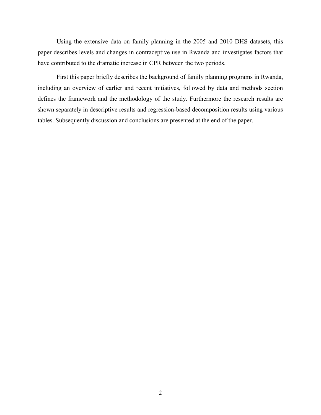Using the extensive data on family planning in the 2005 and 2010 DHS datasets, this paper describes levels and changes in contraceptive use in Rwanda and investigates factors that have contributed to the dramatic increase in CPR between the two periods.

First this paper briefly describes the background of family planning programs in Rwanda, including an overview of earlier and recent initiatives, followed by data and methods section defines the framework and the methodology of the study. Furthermore the research results are shown separately in descriptive results and regression-based decomposition results using various tables. Subsequently discussion and conclusions are presented at the end of the paper.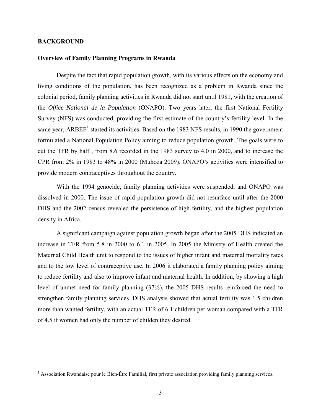# **BACKGROUND**

 $\overline{a}$ 

#### **Overview of Family Planning Programs in Rwanda**

Despite the fact that rapid population growth, with its various effects on the economy and living conditions of the population, has been recognized as a problem in Rwanda since the colonial period, family planning activities in Rwanda did not start until 1981, with the creation of the *Office National de la Population* (ONAPO). Two years later, the first National Fertility Survey (NFS) was conducted, providing the first estimate of the country's fertility level. In the same year, ARBEF<sup>[1](#page-8-0)</sup> started its activities. Based on the 1983 NFS results, in 1990 the government formulated a National Population Policy aiming to reduce population growth. The goals were to cut the TFR by half , from 8.6 recorded in the 1983 survey to 4.0 in 2000, and to increase the CPR from 2% in 1983 to 48% in 2000 (Muhoza 2009). ONAPO's activities were intensified to provide modern contraceptives throughout the country.

With the 1994 genocide, family planning activities were suspended, and ONAPO was dissolved in 2000. The issue of rapid population growth did not resurface until after the 2000 DHS and the 2002 census revealed the persistence of high fertility, and the highest population density in Africa.

A significant campaign against population growth began after the 2005 DHS indicated an increase in TFR from 5.8 in 2000 to 6.1 in 2005. In 2005 the Ministry of Health created the Maternal Child Health unit to respond to the issues of higher infant and maternal mortality rates and to the low level of contraceptive use. In 2006 it elaborated a family planning policy aiming to reduce fertility and also to improve infant and maternal health. In addition, by showing a high level of unmet need for family planning (37%), the 2005 DHS results reinforced the need to strengthen family planning services. DHS analysis showed that actual fertility was 1.5 children more than wanted fertility, with an actual TFR of 6.1 children per woman compared with a TFR of 4.5 if women had only the number of childen they desired.

<span id="page-8-0"></span> $<sup>1</sup>$  Association Rwandaise pour le Bien-Être Familial, first private association providing family planning services.</sup>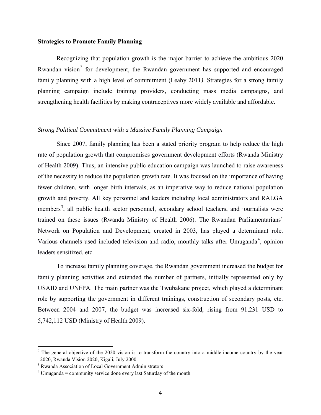#### **Strategies to Promote Family Planning**

Recognizing that population growth is the major barrier to achieve the ambitious 2020 Rwandan vision<sup>[2](#page-9-0)</sup> for development, the Rwandan government has supported and encouraged family planning with a high level of commitment (Leahy 2011*)*. Strategies for a strong family planning campaign include training providers, conducting mass media campaigns, and strengthening health facilities by making contraceptives more widely available and affordable.

## *Strong Political Commitment with a Massive Family Planning Campaign*

Since 2007, family planning has been a stated priority program to help reduce the high rate of population growth that compromises government development efforts (Rwanda Ministry of Health 2009). Thus, an intensive public education campaign was launched to raise awareness of the necessity to reduce the population growth rate. It was focused on the importance of having fewer children, with longer birth intervals, as an imperative way to reduce national population growth and poverty. All key personnel and leaders including local administrators and RALGA members<sup>[3](#page-9-1)</sup>, all public health sector personnel, secondary school teachers, and journalists were trained on these issues (Rwanda Ministry of Health 2006). The Rwandan Parliamentarians' Network on Population and Development, created in 2003, has played a determinant role. Various channels used included television and radio, monthly talks after Umuganda<sup>[4](#page-9-2)</sup>, opinion leaders sensitized, etc.

To increase family planning coverage, the Rwandan government increased the budget for family planning activities and extended the number of partners, initially represented only by USAID and UNFPA. The main partner was the Twubakane project, which played a determinant role by supporting the government in different trainings, construction of secondary posts, etc. Between 2004 and 2007, the budget was increased six-fold, rising from 91,231 USD to 5,742,112 USD (Ministry of Health 2009).

 $\overline{a}$ 

<span id="page-9-0"></span><sup>&</sup>lt;sup>2</sup> The general objective of the 2020 vision is to transform the country into a middle-income country by the year 2020, Rwanda Vision 2020, Kigali, July 2000.

<span id="page-9-1"></span><sup>&</sup>lt;sup>3</sup> Rwanda Association of Local Government Administrators

<span id="page-9-2"></span> $4$  Umuganda = community service done every last Saturday of the month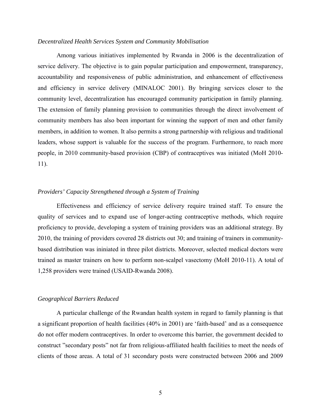#### *Decentralized Health Services System and Community Mobilisation*

Among various initiatives implemented by Rwanda in 2006 is the decentralization of service delivery. The objective is to gain popular participation and empowerment, transparency, accountability and responsiveness of public administration, and enhancement of effectiveness and efficiency in service delivery (MINALOC 2001). By bringing services closer to the community level, decentralization has encouraged community participation in family planning. The extension of family planning provision to communities through the direct involvement of community members has also been important for winning the support of men and other family members, in addition to women. It also permits a strong partnership with religious and traditional leaders, whose support is valuable for the success of the program. Furthermore, to reach more people, in 2010 community-based provision (CBP) of contraceptives was initiated (MoH 2010- 11).

# *Providers' Capacity Strengthened through a System of Training*

Effectiveness and efficiency of service delivery require trained staff. To ensure the quality of services and to expand use of longer-acting contraceptive methods, which require proficiency to provide, developing a system of training providers was an additional strategy. By 2010, the training of providers covered 28 districts out 30; and training of trainers in communitybased distribution was ininiated in three pilot districts. Moreover, selected medical doctors were trained as master trainers on how to perform non-scalpel vasectomy (MoH 2010-11). A total of 1,258 providers were trained (USAID-Rwanda 2008).

#### *Geographical Barriers Reduced*

A particular challenge of the Rwandan health system in regard to family planning is that a significant proportion of health facilities (40% in 2001) are 'faith-based' and as a consequence do not offer modern contraceptives. In order to overcome this barrier, the government decided to construct "secondary posts" not far from religious-affiliated health facilities to meet the needs of clients of those areas. A total of 31 secondary posts were constructed between 2006 and 2009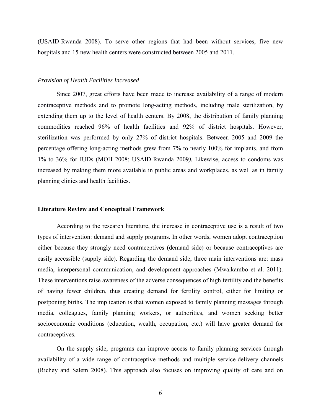(USAID-Rwanda 2008). To serve other regions that had been without services, five new hospitals and 15 new health centers were constructed between 2005 and 2011.

#### *Provision of Health Facilities Increased*

Since 2007, great efforts have been made to increase availability of a range of modern contraceptive methods and to promote long-acting methods, including male sterilization, by extending them up to the level of health centers. By 2008, the distribution of family planning commodities reached 96% of health facilities and 92% of district hospitals. However, sterilization was performed by only 27% of district hospitals. Between 2005 and 2009 the percentage offering long-acting methods grew from 7% to nearly 100% for implants, and from 1% to 36% for IUDs (MOH 2008; USAID-Rwanda 2009*).* Likewise, access to condoms was increased by making them more available in public areas and workplaces, as well as in family planning clinics and health facilities.

#### **Literature Review and Conceptual Framework**

According to the research literature, the increase in contraceptive use is a result of two types of intervention: demand and supply programs. In other words, women adopt contraception either because they strongly need contraceptives (demand side) or because contraceptives are easily accessible (supply side). Regarding the demand side, three main interventions are: mass media, interpersonal communication, and development approaches (Mwaikambo et al. 2011). These interventions raise awareness of the adverse consequences of high fertility and the benefits of having fewer children, thus creating demand for fertility control, either for limiting or postponing births. The implication is that women exposed to family planning messages through media, colleagues, family planning workers, or authorities, and women seeking better socioeconomic conditions (education, wealth, occupation, etc.) will have greater demand for contraceptives.

On the supply side, programs can improve access to family planning services through availability of a wide range of contraceptive methods and multiple service-delivery channels (Richey and Salem 2008). This approach also focuses on improving quality of care and on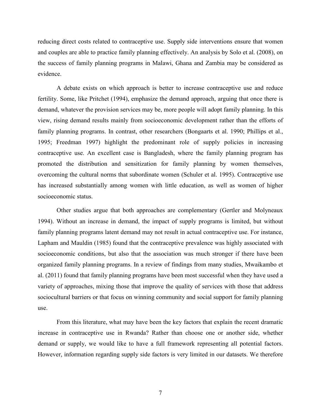reducing direct costs related to contraceptive use. Supply side interventions ensure that women and couples are able to practice family planning effectively. An analysis by Solo et al. (2008), on the success of family planning programs in Malawi, Ghana and Zambia may be considered as evidence.

A debate exists on which approach is better to increase contraceptive use and reduce fertility. Some, like Pritchet (1994), emphasize the demand approach, arguing that once there is demand, whatever the provision services may be, more people will adopt family planning. In this view, rising demand results mainly from socioeconomic development rather than the efforts of family planning programs. In contrast, other researchers (Bongaarts et al. 1990; Phillips et al., 1995; Freedman 1997) highlight the predominant role of supply policies in increasing contraceptive use. An excellent case is Bangladesh, where the family planning program has promoted the distribution and sensitization for family planning by women themselves, overcoming the cultural norms that subordinate women (Schuler et al. 1995). Contraceptive use has increased substantially among women with little education, as well as women of higher socioeconomic status.

Other studies argue that both approaches are complementary (Gertler and Molyneaux 1994). Without an increase in demand, the impact of supply programs is limited, but without family planning programs latent demand may not result in actual contraceptive use. For instance, Lapham and Mauldin (1985) found that the contraceptive prevalence was highly associated with socioeconomic conditions, but also that the association was much stronger if there have been organized family planning programs. In a review of findings from many studies, Mwaikambo et al. (2011) found that family planning programs have been most successful when they have used a variety of approaches, mixing those that improve the quality of services with those that address sociocultural barriers or that focus on winning community and social support for family planning use.

From this literature, what may have been the key factors that explain the recent dramatic increase in contraceptive use in Rwanda? Rather than choose one or another side, whether demand or supply, we would like to have a full framework representing all potential factors. However, information regarding supply side factors is very limited in our datasets. We therefore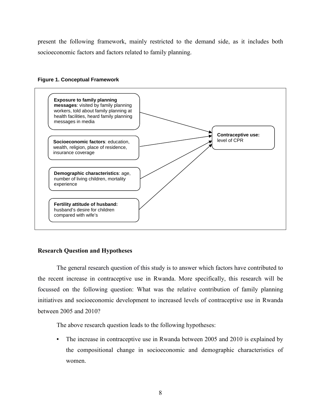present the following framework, mainly restricted to the demand side, as it includes both socioeconomic factors and factors related to family planning.

## **Figure 1. Conceptual Framework**



# **Research Question and Hypotheses**

The general research question of this study is to answer which factors have contributed to the recent increase in contraceptive use in Rwanda. More specifically, this research will be focussed on the following question: What was the relative contribution of family planning initiatives and socioeconomic development to increased levels of contraceptive use in Rwanda between 2005 and 2010?

The above research question leads to the following hypotheses:

• The increase in contraceptive use in Rwanda between 2005 and 2010 is explained by the compositional change in socioeconomic and demographic characteristics of women.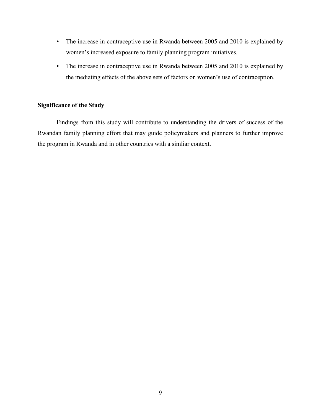- The increase in contraceptive use in Rwanda between 2005 and 2010 is explained by women's increased exposure to family planning program initiatives.
- The increase in contraceptive use in Rwanda between 2005 and 2010 is explained by the mediating effects of the above sets of factors on women's use of contraception.

# **Significance of the Study**

Findings from this study will contribute to understanding the drivers of success of the Rwandan family planning effort that may guide policymakers and planners to further improve the program in Rwanda and in other countries with a simliar context.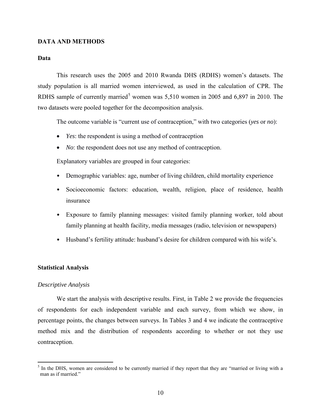# **DATA AND METHODS**

#### **Data**

This research uses the 2005 and 2010 Rwanda DHS (RDHS) women's datasets. The study population is all married women interviewed, as used in the calculation of CPR. The RDHS sample of currently married<sup>[5](#page-15-0)</sup> women was  $5,510$  women in 2005 and 6,897 in 2010. The two datasets were pooled together for the decomposition analysis.

The outcome variable is "current use of contraception," with two categories (*yes* or *no*):

- *Yes*: the respondent is using a method of contraception
- *No*: the respondent does not use any method of contraception.

Explanatory variables are grouped in four categories:

- Demographic variables: age, number of living children, child mortality experience
- Socioeconomic factors: education, wealth, religion, place of residence, health insurance
- Exposure to family planning messages: visited family planning worker, told about family planning at health facility, media messages (radio, television or newspapers)
- Husband's fertility attitude: husband's desire for children compared with his wife's.

## **Statistical Analysis**

#### *Descriptive Analysis*

 $\overline{a}$ 

We start the analysis with descriptive results. First, in Table 2 we provide the frequencies of respondents for each independent variable and each survey, from which we show, in percentage points, the changes between surveys. In Tables 3 and 4 we indicate the contraceptive method mix and the distribution of respondents according to whether or not they use contraception.

<span id="page-15-0"></span> $<sup>5</sup>$  In the DHS, women are considered to be currently married if they report that they are "married or living with a</sup> man as if married."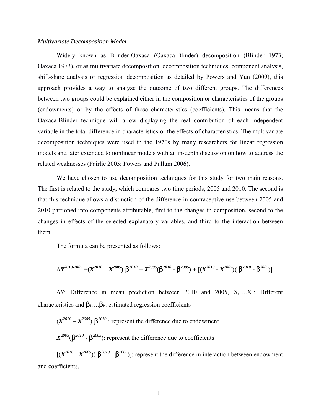#### *Multivariate Decomposition Model*

Widely known as Blinder-Oaxaca (Oaxaca-Blinder) decomposition (Blinder 1973; Oaxaca 1973), or as multivariate decomposition, decomposition techniques, component analysis, shift-share analysis or regression decomposition as detailed by Powers and Yun (2009), this approach provides a way to analyze the outcome of two different groups. The differences between two groups could be explained either in the composition or characteristics of the groups (endowments) or by the effects of those characteristics (coefficients). This means that the Oaxaca-Blinder technique will allow displaying the real contribution of each independent variable in the total difference in characteristics or the effects of characteristics. The multivariate decomposition techniques were used in the 1970s by many researchers for linear regression models and later extended to nonlinear models with an in-depth discussion on how to address the related weaknesses (Fairlie 2005; Powers and Pullum 2006).

We have chosen to use decomposition techniques for this study for two main reasons. The first is related to the study, which compares two time periods, 2005 and 2010. The second is that this technique allows a distinction of the difference in contraceptive use between 2005 and 2010 partioned into components attributable, first to the changes in composition, second to the changes in effects of the selected explanatory variables, and third to the interaction between them.

The formula can be presented as follows:

$$
\Delta Y^{2010\text{-}2005} = (X^{2010} - X^{2005}) \beta^{2010} + X^{2005} (\beta^{2010} - \beta^{2005}) + [(X^{2010} - X^{2005}) (\beta^{2010} - \beta^{2005})]
$$

∆*Y*: Difference in mean prediction between 2010 and 2005, Xi….Xk: Different characteristics and  $\beta_i$ .... $\beta_k$ : estimated regression coefficients

 $(X^{2010} - X^{2005})$   $\beta^{2010}$ : represent the difference due to endowment

 $X^{2005}(\beta^{2010} - \beta^{2005})$ : represent the difference due to coefficients

 $[(X^{2010} - X^{2005})(\beta^{2010} - \beta^{2005})]$ : represent the difference in interaction between endowment and coefficients.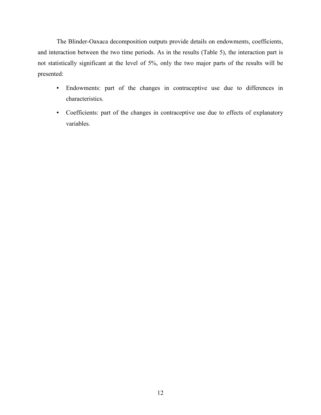The Blinder-Oaxaca decomposition outputs provide details on endowments, coefficients, and interaction between the two time periods. As in the results (Table 5), the interaction part is not statistically significant at the level of 5%, only the two major parts of the results will be presented:

- Endowments: part of the changes in contraceptive use due to differences in characteristics.
- Coefficients: part of the changes in contraceptive use due to effects of explanatory variables.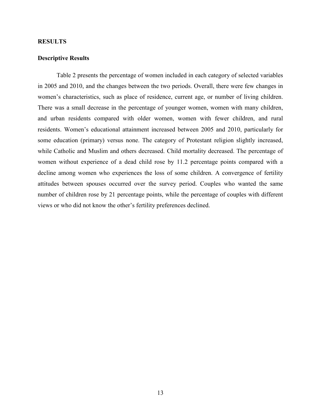## **RESULTS**

# **Descriptive Results**

Table 2 presents the percentage of women included in each category of selected variables in 2005 and 2010, and the changes between the two periods. Overall, there were few changes in women's characteristics, such as place of residence, current age, or number of living children. There was a small decrease in the percentage of younger women, women with many children, and urban residents compared with older women, women with fewer children, and rural residents. Women's educational attainment increased between 2005 and 2010, particularly for some education (primary) versus none. The category of Protestant religion slightly increased, while Catholic and Muslim and others decreased. Child mortality decreased. The percentage of women without experience of a dead child rose by 11.2 percentage points compared with a decline among women who experiences the loss of some children. A convergence of fertility attitudes between spouses occurred over the survey period. Couples who wanted the same number of children rose by 21 percentage points, while the percentage of couples with different views or who did not know the other's fertility preferences declined.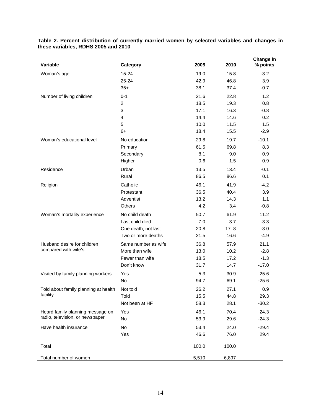| Variable                             | Category            | 2005  | 2010  | Change in<br>% points |
|--------------------------------------|---------------------|-------|-------|-----------------------|
| Woman's age                          | $15 - 24$           | 19.0  | 15.8  | $-3.2$                |
|                                      | 25-24               | 42.9  | 46.8  | 3.9                   |
|                                      | $35+$               | 38.1  | 37.4  | $-0.7$                |
| Number of living children            | $0 - 1$             | 21.6  | 22.8  | 1.2                   |
|                                      | $\overline{c}$      | 18.5  | 19.3  | 0.8                   |
|                                      | 3                   | 17.1  | 16.3  | $-0.8$                |
|                                      | 4                   | 14.4  | 14.6  | 0.2                   |
|                                      | 5                   | 10.0  | 11.5  | 1.5                   |
|                                      | $6+$                | 18.4  | 15.5  | $-2.9$                |
| Woman's educational level            | No education        | 29.8  | 19.7  | $-10.1$               |
|                                      | Primary             | 61.5  | 69.8  | 8,3                   |
|                                      | Secondary           | 8.1   | 9.0   | 0.9                   |
|                                      | Higher              | 0.6   | 1.5   | 0.9                   |
| Residence                            | Urban               | 13.5  | 13.4  | $-0.1$                |
|                                      | Rural               | 86.5  | 86.6  | 0.1                   |
| Religion                             | Catholic            | 46.1  | 41.9  | $-4.2$                |
|                                      | Protestant          | 36.5  | 40.4  | 3.9                   |
|                                      | Adventist           | 13.2  | 14.3  | 1.1                   |
|                                      | Others              | 4.2   | 3.4   | $-0.8$                |
| Woman's mortality experience         | No child death      | 50.7  | 61.9  | 11.2                  |
|                                      | Last child died     | 7.0   | 3.7   | $-3.3$                |
|                                      | One death, not last | 20.8  | 17.8  | $-3.0$                |
|                                      | Two or more deaths  | 21.5  | 16.6  | $-4.9$                |
| Husband desire for children          | Same number as wife | 36.8  | 57.9  | 21.1                  |
| compared with wife's                 | More than wife      | 13.0  | 10.2  | $-2.8$                |
|                                      | Fewer than wife     | 18.5  | 17.2  | $-1.3$                |
|                                      | Don't know          | 31.7  | 14.7  | $-17.0$               |
| Visited by family planning workers   | Yes                 | 5.3   | 30.9  | 25.6                  |
|                                      | No                  | 94.7  | 69.1  | $-25.6$               |
| Told about family planning at health | Not told            | 26.2  | 27.1  | 0.9                   |
| facility                             | Told                | 15.5  | 44.8  | 29.3                  |
|                                      | Not been at HF      | 58.3  | 28.1  | $-30.2$               |
| Heard family planning message on     | Yes                 | 46.1  | 70.4  | 24.3                  |
| radio, television, or newspaper      | No                  | 53.9  | 29.6  | $-24.3$               |
| Have health insurance                | No                  | 53.4  | 24.0  | $-29.4$               |
|                                      | Yes                 | 46.6  | 76.0  | 29.4                  |
| Total                                |                     | 100.0 | 100.0 |                       |
| Total number of women                |                     | 5,510 | 6,897 |                       |

#### **Table 2. Percent distribution of currently married women by selected variables and changes in these variables, RDHS 2005 and 2010**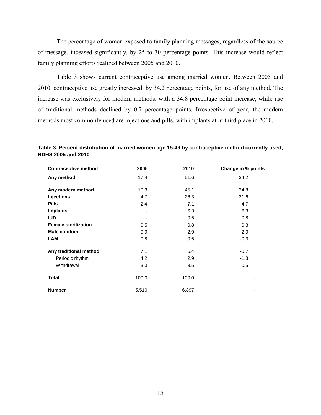The percentage of women exposed to family planning messages, regardless of the source of message, inceased significantly, by 25 to 30 percentage points. This increase would reflect family planning efforts realized between 2005 and 2010.

Table 3 shows current contraceptive use among married women. Between 2005 and 2010, contraceptive use greatly increased, by 34.2 percentage points, for use of any method. The increase was exclusively for modern methods, with a 34.8 percentage point increase, while use of traditional methods declined by 0.7 percentage points. Irrespective of year, the modern methods most commonly used are injections and pills, with implants at in third place in 2010.

| <b>Contraceptive method</b> | 2005  | 2010  | Change in % points |
|-----------------------------|-------|-------|--------------------|
| Any method                  | 17.4  | 51.6  | 34.2               |
| Any modern method           | 10.3  | 45.1  | 34.8               |
| <b>Injections</b>           | 4.7   | 26.3  | 21.6               |
| <b>Pills</b>                | 2.4   | 7.1   | 4.7                |
| <b>Implants</b>             | ۰     | 6.3   | 6.3                |
| <b>IUD</b>                  |       | 0.5   | 0.8                |
| <b>Female sterilization</b> | 0.5   | 0.8   | 0.3                |
| Male condom                 | 0.9   | 2.9   | 2.0                |
| LAM                         | 0.8   | 0.5   | $-0.3$             |
| Any traditional method      | 7.1   | 6.4   | $-0.7$             |
| Periodic rhythm             | 4.2   | 2.9   | $-1.3$             |
| Withdrawal                  | 3.0   | 3.5   | 0.5                |
| <b>Total</b>                | 100.0 | 100.0 | ٠                  |
| <b>Number</b>               | 5,510 | 6,897 |                    |

**Table 3. Percent distribution of married women age 15-49 by contraceptive method currently used, RDHS 2005 and 2010**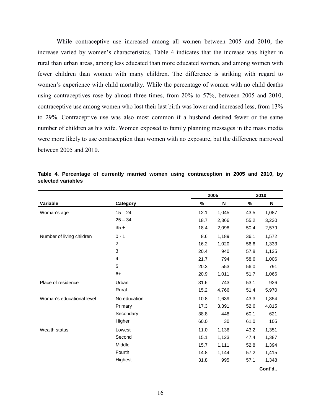While contraceptive use increased among all women between 2005 and 2010, the increase varied by women's characteristics. Table 4 indicates that the increase was higher in rural than urban areas, among less educated than more educated women, and among women with fewer children than women with many children. The difference is striking with regard to women's experience with child mortality. While the percentage of women with no child deaths using contraceptives rose by almost three times, from 20% to 57%, between 2005 and 2010, contraceptive use among women who lost their last birth was lower and increased less, from 13% to 29%. Contraceptive use was also most common if a husband desired fewer or the same number of children as his wife. Women exposed to family planning messages in the mass media were more likely to use contraception than women with no exposure, but the difference narrowed between 2005 and 2010.

|                           |                |      | 2005  |      | 2010  |
|---------------------------|----------------|------|-------|------|-------|
| Variable                  | Category       | %    | N     | %    | N     |
| Woman's age               | $15 - 24$      | 12.1 | 1,045 | 43.5 | 1,087 |
|                           | $25 - 34$      | 18.7 | 2,366 | 55.2 | 3,230 |
|                           | $35 +$         | 18.4 | 2,098 | 50.4 | 2,579 |
| Number of living children | $0 - 1$        | 8.6  | 1,189 | 36.1 | 1,572 |
|                           | $\overline{2}$ | 16.2 | 1,020 | 56.6 | 1,333 |
|                           | 3              | 20.4 | 940   | 57.8 | 1,125 |
|                           | 4              | 21.7 | 794   | 58.6 | 1,006 |
|                           | 5              | 20.3 | 553   | 56.0 | 791   |
|                           | $6+$           | 20.9 | 1,011 | 51.7 | 1,066 |
| Place of residence        | Urban          | 31.6 | 743   | 53.1 | 926   |
|                           | Rural          | 15.2 | 4,766 | 51.4 | 5,970 |
| Woman's educational level | No education   | 10.8 | 1,639 | 43.3 | 1,354 |
|                           | Primary        | 17.3 | 3,391 | 52.6 | 4,815 |
|                           | Secondary      | 38.8 | 448   | 60.1 | 621   |
|                           | Higher         | 60.0 | 30    | 61.0 | 105   |
| Wealth status             | Lowest         | 11.0 | 1,136 | 43.2 | 1,351 |
|                           | Second         | 15.1 | 1,123 | 47.4 | 1,387 |
|                           | Middle         | 15.7 | 1,111 | 52.8 | 1,394 |
|                           | Fourth         | 14.8 | 1,144 | 57.2 | 1,415 |
|                           | Highest        | 31.8 | 995   | 57.1 | 1,348 |

**Table 4. Percentage of currently married women using contraception in 2005 and 2010, by selected variables** 

**Cont'd..**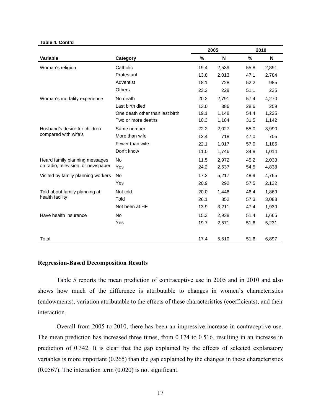#### **Table 4. Cont'd**

|                                    |                                 | 2005 |       | 2010 |       |  |
|------------------------------------|---------------------------------|------|-------|------|-------|--|
| Variable                           | Category                        | %    | N     | %    | N     |  |
| Woman's religion                   | Catholic                        | 19.4 | 2,539 | 55.8 | 2,891 |  |
|                                    | Protestant                      | 13.8 | 2,013 | 47.1 | 2,784 |  |
|                                    | Adventist                       | 18.1 | 728   | 52.2 | 985   |  |
|                                    | Others                          | 23.2 | 228   | 51.1 | 235   |  |
| Woman's mortality experience       | No death                        | 20.2 | 2,791 | 57.4 | 4,270 |  |
|                                    | Last birth died                 | 13.0 | 386   | 28.6 | 259   |  |
|                                    | One death other than last birth | 19.1 | 1,148 | 54.4 | 1,225 |  |
|                                    | Two or more deaths              | 10.3 | 1,184 | 31.5 | 1,142 |  |
| Husband's desire for children      | Same number                     | 22.2 | 2.027 | 55.0 | 3,990 |  |
| compared with wife's               | More than wife                  | 12.4 | 718   | 47.0 | 705   |  |
|                                    | Fewer than wife                 | 22.1 | 1,017 | 57.0 | 1,185 |  |
|                                    | Don't know                      | 11.0 | 1,746 | 34.8 | 1,014 |  |
| Heard family planning messages     | <b>No</b>                       | 11.5 | 2,972 | 45.2 | 2,038 |  |
| on radio, television, or newspaper | Yes                             | 24.2 | 2,537 | 54.5 | 4,838 |  |
| Visited by family planning workers | <b>No</b>                       | 17.2 | 5,217 | 48.9 | 4,765 |  |
|                                    | Yes                             | 20.9 | 292   | 57.5 | 2,132 |  |
| Told about family planning at      | Not told                        | 20.0 | 1,446 | 46.4 | 1,869 |  |
| health facility                    | Told                            | 26.1 | 852   | 57.3 | 3,088 |  |
|                                    | Not been at HF                  | 13.9 | 3,211 | 47.4 | 1,939 |  |
| Have health insurance              | <b>No</b>                       | 15.3 | 2,938 | 51.4 | 1,665 |  |
|                                    | Yes                             | 19.7 | 2,571 | 51.6 | 5,231 |  |
| Total                              |                                 | 17.4 | 5,510 | 51.6 | 6,897 |  |

#### **Regression-Based Decomposition Results**

Table 5 reports the mean prediction of contraceptive use in 2005 and in 2010 and also shows how much of the difference is attributable to changes in women's characteristics (endowments), variation attributable to the effects of these characteristics (coefficients), and their interaction.

Overall from 2005 to 2010, there has been an impressive increase in contraceptive use. The mean prediction has increased three times, from 0.174 to 0.516, resulting in an increase in prediction of 0.342. It is clear that the gap explained by the effects of selected explanatory variables is more important (0.265) than the gap explained by the changes in these characteristics (0.0567). The interaction term (0.020) is not significant.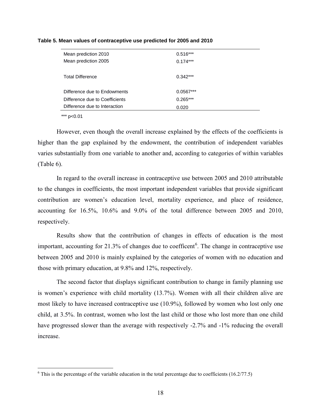| Mean prediction 2010           | $0.516***$  |  |
|--------------------------------|-------------|--|
| Mean prediction 2005           | $0.174***$  |  |
|                                |             |  |
| <b>Total Difference</b>        | $0.342***$  |  |
|                                |             |  |
| Difference due to Endowments   | $0.0567***$ |  |
| Difference due to Coefficients | $0.265***$  |  |
| Difference due to Interaction  | 0.020       |  |
|                                |             |  |

#### **Table 5. Mean values of contraceptive use predicted for 2005 and 2010**

\*\*\* p<0.01

 $\overline{a}$ 

However, even though the overall increase explained by the effects of the coefficients is higher than the gap explained by the endowment, the contribution of independent variables varies substantially from one variable to another and, according to categories of within variables (Table 6).

In regard to the overall increase in contraceptive use between 2005 and 2010 attributable to the changes in coefficients, the most important independent variables that provide significant contribution are women's education level, mortality experience, and place of residence, accounting for 16.5%, 10.6% and 9.0% of the total difference between 2005 and 2010, respectively.

Results show that the contribution of changes in effects of education is the most important, accounting for 21.3% of changes due to coefficent<sup>[6](#page-23-0)</sup>. The change in contraceptive use between 2005 and 2010 is mainly explained by the categories of women with no education and those with primary education, at 9.8% and 12%, respectively.

The second factor that displays significant contribution to change in family planning use is women's experience with child mortality (13.7%). Women with all their children alive are most likely to have increased contraceptive use (10.9%), followed by women who lost only one child, at 3.5%. In contrast, women who lost the last child or those who lost more than one child have progressed slower than the average with respectively -2.7% and -1% reducing the overall increase.

<span id="page-23-0"></span> $6$  This is the percentage of the variable education in the total percentage due to coefficients (16.2/77.5)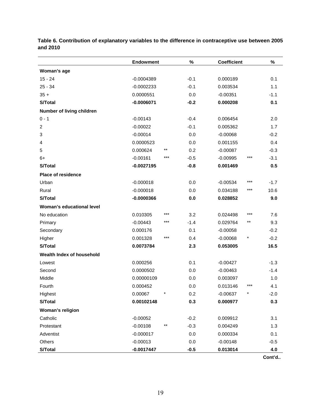|                           | <b>Endowment</b> |            | $\%$    | <b>Coefficient</b> |        | %      |
|---------------------------|------------------|------------|---------|--------------------|--------|--------|
| Woman's age               |                  |            |         |                    |        |        |
| $15 - 24$                 | $-0.0004389$     |            | $-0.1$  | 0.000189           |        | 0.1    |
| $25 - 34$                 | $-0.0002233$     |            | $-0.1$  | 0.003534           |        | 1.1    |
| $35 +$                    | 0.0000551        |            | 0.0     | $-0.00351$         |        | $-1.1$ |
| <b>S/Total</b>            | $-0.0006071$     |            | $-0.2$  | 0.000208           |        | 0.1    |
| Number of living children |                  |            |         |                    |        |        |
| $0 - 1$                   | $-0.00143$       |            | $-0.4$  | 0.006454           |        | 2.0    |
| $\overline{c}$            | $-0.00022$       |            | $-0.1$  | 0.005362           |        | 1.7    |
| 3                         | $-0.00014$       |            | 0.0     | $-0.00068$         |        | $-0.2$ |
| 4                         | 0.0000523        |            | 0.0     | 0.001155           |        | 0.4    |
| 5                         | 0.000624         | $***$      | 0.2     | $-0.00087$         |        | $-0.3$ |
| 6+                        | $-0.00161$       | $***$      | $-0.5$  | $-0.00995$         | ***    | $-3.1$ |
| S/Total                   | $-0.0027195$     |            | $-0.8$  | 0.001469           |        | 0.5    |
| <b>Place of residence</b> |                  |            |         |                    |        |        |
| Urban                     | $-0.000018$      |            | 0.0     | $-0.00534$         | ***    | $-1.7$ |
| Rural                     | $-0.000018$      |            | 0.0     | 0.034188           | ***    | 10.6   |
| S/Total                   | $-0.0000366$     |            | 0.0     | 0.028852           |        | 9.0    |
| Woman's educational level |                  |            |         |                    |        |        |
| No education              | 0.010305         | $***$      | 3.2     | 0.024498           | ***    | 7.6    |
| Primary                   | $-0.00443$       | ***        | $-1.4$  | 0.029764           | $***$  | 9.3    |
| Secondary                 | 0.000176         |            | 0.1     | $-0.00058$         |        | $-0.2$ |
| Higher                    | 0.001328         | $***$      | 0.4     | $-0.00068$         | $\ast$ | $-0.2$ |
| S/Total                   | 0.0073784        |            | 2.3     | 0.053005           |        | 16.5   |
| Wealth Index of household |                  |            |         |                    |        |        |
| Lowest                    | 0.000256         |            | 0.1     | $-0.00427$         |        | $-1.3$ |
| Second                    | 0.0000502        |            | 0.0     | $-0.00463$         |        | $-1.4$ |
| Middle                    | 0.00000109       |            | $0.0\,$ | 0.003097           |        | 1.0    |
| Fourth                    | 0.000452         |            | 0.0     | 0.013146           | ***    | 4.1    |
| Highest                   | 0.00067          | $^{\star}$ | 0.2     | $-0.00637$         | *      | $-2.0$ |
| S/Total                   | 0.00102148       |            | 0.3     | 0.000977           |        | 0.3    |
| Woman's religion          |                  |            |         |                    |        |        |
| Catholic                  | $-0.00052$       |            | $-0.2$  | 0.009912           |        | 3.1    |
| Protestant                | $-0.00108$       | $***$      | $-0.3$  | 0.004249           |        | 1.3    |
| Adventist                 | $-0.000017$      |            | 0.0     | 0.000334           |        | 0.1    |
| Others                    | $-0.00013$       |            | 0.0     | $-0.00148$         |        | $-0.5$ |
| <b>S/Total</b>            | $-0.0017447$     |            | $-0.5$  | 0.013014           |        | 4.0    |

**Table 6. Contribution of explanatory variables to the difference in contraceptive use between 2005 and 2010**

**Cont'd..**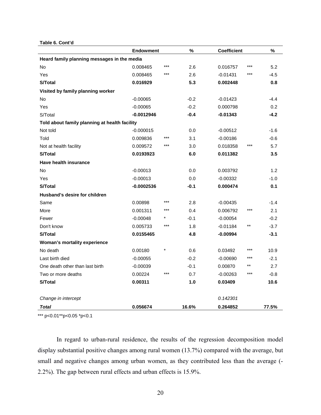**Table 6. Cont'd**

|                                               | <b>Endowment</b> |        | %      | Coefficient |       | %      |
|-----------------------------------------------|------------------|--------|--------|-------------|-------|--------|
| Heard family planning messages in the media   |                  |        |        |             |       |        |
| No                                            | 0.008465         | ***    | 2.6    | 0.016757    | ***   | 5.2    |
| Yes                                           | 0.008465         | ***    | 2.6    | $-0.01431$  | ***   | $-4.5$ |
| S/Total                                       | 0.016929         |        | 5.3    | 0.002448    |       | 0.8    |
| Visited by family planning worker             |                  |        |        |             |       |        |
| No                                            | $-0.00065$       |        | $-0.2$ | $-0.01423$  |       | $-4.4$ |
| Yes                                           | $-0.00065$       |        | $-0.2$ | 0.000798    |       | 0.2    |
| S/Total                                       | $-0.0012946$     |        | $-0.4$ | $-0.01343$  |       | $-4.2$ |
| Told about family planning at health facility |                  |        |        |             |       |        |
| Not told                                      | $-0.000015$      |        | 0.0    | $-0.00512$  |       | $-1.6$ |
| Told                                          | 0.009836         | ***    | 3.1    | $-0.00186$  |       | $-0.6$ |
| Not at health facility                        | 0.009572         | $***$  | 3.0    | 0.018358    | ***   | 5.7    |
| S/Total                                       | 0.0193923        |        | 6.0    | 0.011382    |       | 3.5    |
| Have health insurance                         |                  |        |        |             |       |        |
| No                                            | $-0.00013$       |        | 0.0    | 0.003792    |       | 1.2    |
| Yes                                           | $-0.00013$       |        | 0.0    | $-0.00332$  |       | $-1.0$ |
| <b>S/Total</b>                                | $-0.0002536$     |        | $-0.1$ | 0.000474    |       | 0.1    |
| Husband's desire for children                 |                  |        |        |             |       |        |
| Same                                          | 0.00898          | ***    | 2.8    | $-0.00435$  |       | $-1.4$ |
| More                                          | 0.001311         | ***    | 0.4    | 0.006792    | ***   | 2.1    |
| Fewer                                         | $-0.00048$       |        | $-0.1$ | $-0.00054$  |       | $-0.2$ |
| Don't know                                    | 0.005733         | ***    | 1.8    | $-0.01184$  | **    | $-3.7$ |
| S/Total                                       | 0.0155465        |        | 4.8    | $-0.00994$  |       | $-3.1$ |
| Woman's mortality experience                  |                  |        |        |             |       |        |
| No death                                      | 0.00180          | $\ast$ | 0.6    | 0.03492     | ***   | 10.9   |
| Last birth died                               | $-0.00055$       |        | $-0.2$ | $-0.00690$  | ***   | $-2.1$ |
| One death other than last birth               | $-0.00039$       |        | $-0.1$ | 0.00870     | $***$ | 2.7    |
| Two or more deaths                            | 0.00224          | ***    | 0.7    | $-0.00263$  | ***   | $-0.8$ |
| <b>S/Total</b>                                | 0.00311          |        | 1.0    | 0.03409     |       | 10.6   |
| Change in intercept                           |                  |        |        | 0.142301    |       |        |
| Total                                         | 0.056674         |        | 16.6%  | 0.264852    |       | 77.5%  |

\*\*\* p<0.01\*\*p<0.05 \*p<0.1

In regard to urban-rural residence, the results of the regression decomposition model display substantial positive changes among rural women (13.7%) compared with the average, but small and negative changes among urban women, as they contributed less than the average (- 2.2%). The gap between rural effects and urban effects is 15.9%.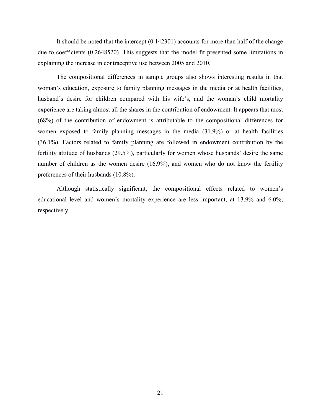It should be noted that the intercept (0.142301) accounts for more than half of the change due to coefficients (0.2648520). This suggests that the model fit presented some limitations in explaining the increase in contraceptive use between 2005 and 2010.

The compositional differences in sample groups also shows interesting results in that woman's education, exposure to family planning messages in the media or at health facilities, husband's desire for children compared with his wife's, and the woman's child mortality experience are taking almost all the shares in the contribution of endowment. It appears that most (68%) of the contribution of endowment is attributable to the compositional differences for women exposed to family planning messages in the media (31.9%) or at health facilities (36.1%). Factors related to family planning are followed in endowment contribution by the fertility attitude of husbands (29.5%), particularly for women whose husbands' desire the same number of children as the women desire (16.9%), and women who do not know the fertility preferences of their husbands (10.8%).

Although statistically significant, the compositional effects related to women's educational level and women's mortality experience are less important, at 13.9% and 6.0%, respectively.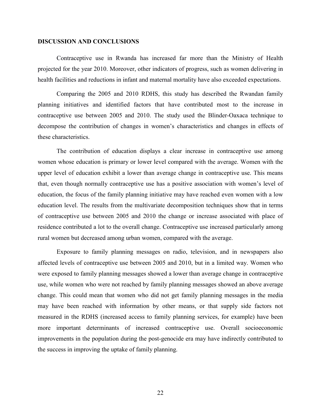#### **DISCUSSION AND CONCLUSIONS**

Contraceptive use in Rwanda has increased far more than the Ministry of Health projected for the year 2010. Moreover, other indicators of progress, such as women delivering in health facilities and reductions in infant and maternal mortality have also exceeded expectations.

Comparing the 2005 and 2010 RDHS, this study has described the Rwandan family planning initiatives and identified factors that have contributed most to the increase in contraceptive use between 2005 and 2010. The study used the Blinder-Oaxaca technique to decompose the contribution of changes in women's characteristics and changes in effects of these characteristics.

The contribution of education displays a clear increase in contraceptive use among women whose education is primary or lower level compared with the average. Women with the upper level of education exhibit a lower than average change in contraceptive use. This means that, even though normally contraceptive use has a positive association with women's level of education, the focus of the family planning initiative may have reached even women with a low education level. The results from the multivariate decomposition techniques show that in terms of contraceptive use between 2005 and 2010 the change or increase associated with place of residence contributed a lot to the overall change. Contraceptive use increased particularly among rural women but decreased among urban women, compared with the average.

Exposure to family planning messages on radio, television, and in newspapers also affected levels of contraceptive use between 2005 and 2010, but in a limited way. Women who were exposed to family planning messages showed a lower than average change in contraceptive use, while women who were not reached by family planning messages showed an above average change. This could mean that women who did not get family planning messages in the media may have been reached with information by other means, or that supply side factors not measured in the RDHS (increased access to family planning services, for example) have been more important determinants of increased contraceptive use. Overall socioeconomic improvements in the population during the post-genocide era may have indirectly contributed to the success in improving the uptake of family planning.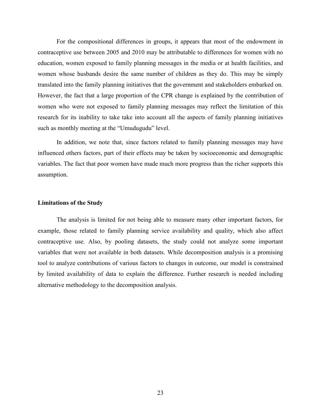For the compositional differences in groups, it appears that most of the endowment in contraceptive use between 2005 and 2010 may be attributable to differences for women with no education, women exposed to family planning messages in the media or at health facilities, and women whose husbands desire the same number of children as they do. This may be simply translated into the family planning initiatives that the government and stakeholders embarked on. However, the fact that a large proportion of the CPR change is explained by the contribution of women who were not exposed to family planning messages may reflect the limitation of this research for its inability to take take into account all the aspects of family planning initiatives such as monthly meeting at the "Umudugudu" level.

In addition, we note that, since factors related to family planning messages may have influenced others factors, part of their effects may be taken by socioeconomic and demographic variables. The fact that poor women have made much more progress than the richer supports this assumption.

#### **Limitations of the Study**

The analysis is limited for not being able to measure many other important factors, for example, those related to family planning service availability and quality, which also affect contraceptive use. Also, by pooling datasets, the study could not analyze some important variables that were not available in both datasets. While decomposition analysis is a promising tool to analyze contributions of various factors to changes in outcome, our model is constrained by limited availability of data to explain the difference. Further research is needed including alternative methodology to the decomposition analysis.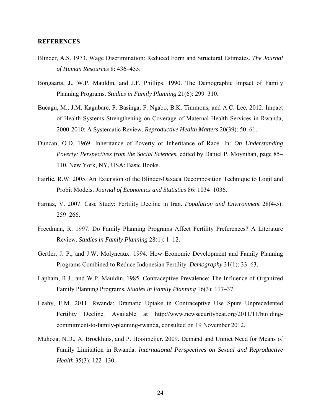#### **REFERENCES**

- Blinder, A.S. 1973. Wage Discrimination: Reduced Form and Structural Estimates. *The Journal of Human Resources* 8: 436–455.
- Bongaarts, J., W.P. Mauldin, and J.F. Phillips. 1990. The Demographic Impact of Family Planning Programs. *Studies in Family Planning* 21(6): 299–310.
- Bucagu, M., J.M. Kagubare, P. Basinga, F. Ngabo, B.K. Timmons, and A.C. Lee. 2012. Impact of Health Systems Strengthening on Coverage of Maternal Health Services in Rwanda, 2000-2010: A Systematic Review. *Reproductive Health Matters* 20(39): 50–61.
- Duncan, O.D. 1969. Inheritance of Poverty or Inheritance of Race. In: *On Understanding Poverty: Perspectives from the Social Sciences*, edited by Daniel P. Moynihan, page 85– 110. New York, NY, USA: Basic Books.
- Fairlie, R.W. 2005. An Extension of the Blinder-Oaxaca Decomposition Technique to Logit and Probit Models. *Journal of Economics and Statistics* 86: 1034–1036.
- Farnaz, V. 2007. Case Study: Fertility Decline in Iran. *Population and Environment* 28(4-5): 259–266.
- Freedman, R. 1997. Do Family Planning Programs Affect Fertility Preferences? A Literature Review. *Studies in Family Planning* 28(1): 1–12.
- Gertler, J. P., and J.W. Molyneaux. 1994. How Economic Development and Family Planning Programs Combined to Reduce Indonesian Fertility. *Demography* 31(1): 33–63.
- Lapham, R.J., and W.P. Mauldin. 1985. Contraceptive Prevalence: The Influence of Organized Family Planning Programs. *Studies in Family Planning* 16(3): 117–37.
- Leahy, E.M. 2011. Rwanda: Dramatic Uptake in Contraceptive Use Spurs Unprecedented Fertility Decline. Available at http://www.newsecuritybeat.org/2011/11/buildingcommitment-to-family-planning-rwanda, consulted on 19 November 2012.
- Muhoza, N.D., A. Broekhuis, and P. Hooimeijer. 2009. Demand and Unmet Need for Means of Family Limitation in Rwanda. *International Perspectives on Sexual and Reproductive Health* 35(3): 122–130.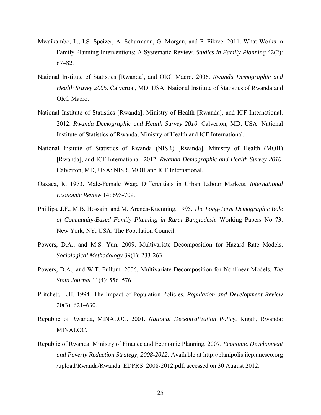- Mwaikambo, L., I.S. Speizer, A. Schurmann, G. Morgan, and F. Fikree. 2011. What Works in Family Planning Interventions: A Systematic Review. *Studies in Family Planning* 42(2): 67–82.
- National Institute of Statistics [Rwanda], and ORC Macro. 2006. *Rwanda Demographic and Health Sruvey 2005.* Calverton, MD, USA: National Institute of Statistics of Rwanda and ORC Macro.
- National Institute of Statistics [Rwanda], Ministry of Health [Rwanda], and ICF International. 2012. *Rwanda Demographic and Health Survey 2010*. Calverton, MD, USA: National Institute of Statistics of Rwanda, Ministry of Health and ICF International.
- National Insitute of Statistics of Rwanda (NISR) [Rwanda], Ministry of Health (MOH) [Rwanda], and ICF International. 2012. *Rwanda Demographic and Health Survey 2010.* Calverton, MD, USA: NISR, MOH and ICF International.
- Oaxaca, R. 1973. Male-Female Wage Differentials in Urban Labour Markets. *International Economic Review* 14: 693-709.
- Phillips, J.F., M.B. [Hossain,](http://www.ncbi.nlm.nih.gov/pubmed?term=Hossain%20MB%5BAuthor%5D&cauthor=true&cauthor_uid=8875733) and M. [Arends-Kuenning.](http://www.ncbi.nlm.nih.gov/pubmed?term=Arends-Kuenning%20M%5BAuthor%5D&cauthor=true&cauthor_uid=8875733) 1995. *The Long-Term Demographic Role of Community-Based Family Planning in Rural Bangladesh.* Working Papers No 73. New York, NY, USA: The Population Council.
- Powers, D.A., and M.S. Yun. 2009. Multivariate Decomposition for Hazard Rate Models. *Sociological Methodology* 39(1): 233-263.
- Powers, D.A., and W.T. Pullum. 2006. Multivariate Decomposition for Nonlinear Models. *The Stata Journal* 11(4): 556–576.
- Pritchett, L.H. 1994. The Impact of Population Policies. *Population and Development Review* 20(3): 621–630.
- Republic of Rwanda, MINALOC. 2001. *National Decentralization Policy.* Kigali, Rwanda: MINALOC.
- Republic of Rwanda, Ministry of Finance and Economic Planning. 2007. *Economic Development and Poverty Reduction Strategy, 2008-2012.* Available at http://planipolis.iiep.unesco.org /upload/Rwanda/Rwanda\_EDPRS\_2008-2012.pdf, accessed on 30 August 2012.